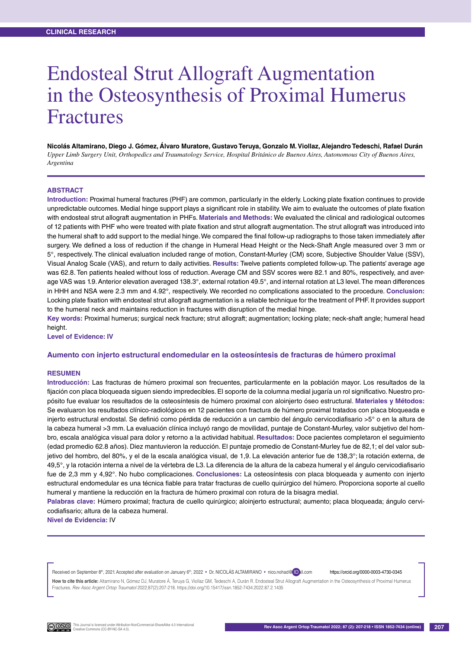# Endosteal Strut Allograft Augmentation in the Osteosynthesis of Proximal Humerus Fractures

**Nicolás Altamirano, Diego J. Gómez, Álvaro Muratore, Gustavo Teruya, Gonzalo M. Viollaz, Alejandro Tedeschi, Rafael Durán** *Upper Limb Surgery Unit, Orthopedics and Traumatology Service, Hospital Británico de Buenos Aires, Autonomous City of Buenos Aires, Argentina*

### **ABSTRACT**

**Introduction:** Proximal humeral fractures (PHF) are common, particularly in the elderly. Locking plate fixation continues to provide unpredictable outcomes. Medial hinge support plays a significant role in stability. We aim to evaluate the outcomes of plate fixation with endosteal strut allograft augmentation in PHFs. **Materials and Methods:** We evaluated the clinical and radiological outcomes of 12 patients with PHF who were treated with plate fixation and strut allograft augmentation. The strut allograft was introduced into the humeral shaft to add support to the medial hinge. We compared the final follow-up radiographs to those taken immediately after surgery. We defined a loss of reduction if the change in Humeral Head Height or the Neck-Shaft Angle measured over 3 mm or 5°, respectively. The clinical evaluation included range of motion, Constant-Murley (CM) score, Subjective Shoulder Value (SSV), Visual Analog Scale (VAS), and return to daily activities. **Results:** Twelve patients completed follow-up. The patients' average age was 62.8. Ten patients healed without loss of reduction. Average CM and SSV scores were 82.1 and 80%, respectively, and average VAS was 1.9. Anterior elevation averaged 138.3°, external rotation 49.5°, and internal rotation at L3 level. The mean differences in HHH and NSA were 2.3 mm and 4.92°, respectively. We recorded no complications associated to the procedure. **Conclusion:** Locking plate fixation with endosteal strut allograft augmentation is a reliable technique for the treatment of PHF. It provides support to the humeral neck and maintains reduction in fractures with disruption of the medial hinge.

**Key words:** Proximal humerus; surgical neck fracture; strut allograft; augmentation; locking plate; neck-shaft angle; humeral head height.

**Level of Evidence: IV**

#### **Aumento con injerto estructural endomedular en la osteosíntesis de fracturas de húmero proximal**

### **Resumen**

**Introducción:** Las fracturas de húmero proximal son frecuentes, particularmente en la población mayor. Los resultados de la fijación con placa bloqueada siguen siendo impredecibles. El soporte de la columna medial jugaría un rol significativo. Nuestro propósito fue evaluar los resultados de la osteosíntesis de húmero proximal con aloinjerto óseo estructural. **Materiales y Métodos:** Se evaluaron los resultados clínico-radiológicos en 12 pacientes con fractura de húmero proximal tratados con placa bloqueada e injerto estructural endostal. Se definió como pérdida de reducción a un cambio del ángulo cervicodiafisario >5° o en la altura de la cabeza humeral >3 mm. La evaluación clínica incluyó rango de movilidad, puntaje de Constant-Murley, valor subjetivo del hombro, escala analógica visual para dolor y retorno a la actividad habitual. **Resultados:** Doce pacientes completaron el seguimiento (edad promedio 62.8 años). Diez mantuvieron la reducción. El puntaje promedio de Constant-Murley fue de 82,1; el del valor subjetivo del hombro, del 80%, y el de la escala analógica visual, de 1,9. La elevación anterior fue de 138,3°; la rotación externa, de 49,5°, y la rotación interna a nivel de la vértebra de L3. La diferencia de la altura de la cabeza humeral y el ángulo cervicodiafisario fue de 2,3 mm y 4,92°. No hubo complicaciones. **Conclusiones:** La osteosíntesis con placa bloqueada y aumento con injerto estructural endomedular es una técnica fiable para tratar fracturas de cuello quirúrgico del húmero. Proporciona soporte al cuello humeral y mantiene la reducción en la fractura de húmero proximal con rotura de la bisagra medial.

**Palabras clave:** Húmero proximal; fractura de cuello quirúrgico; aloinjerto estructural; aumento; placa bloqueada; ángulo cervicodiafisario; altura de la cabeza humeral.

**Nivel de Evidencia:** IV

Received on September 8<sup>th</sup>, 2021. Accepted after evaluation on January 6<sup>th</sup>, 2022 • Dr. NICOLAS ALTAMIRANO • nico.nohad@ Dil.com https://orcid.org/0000-0003-4730-0345

How to cite this article: Altamirano N, Gómez DJ, Muratore Á, Teruya G, Viollaz GM, Tedeschi A, Durán R. Endosteal Strut Allograft Augmentation in the Osteosynthesis of Proximal Humerus Fractures. *Rev Asoc Argent Ortop Traumatol* 2022;87(2):207-218. https://doi.org/10.15417/issn.1852-7434.2022.87.2.1435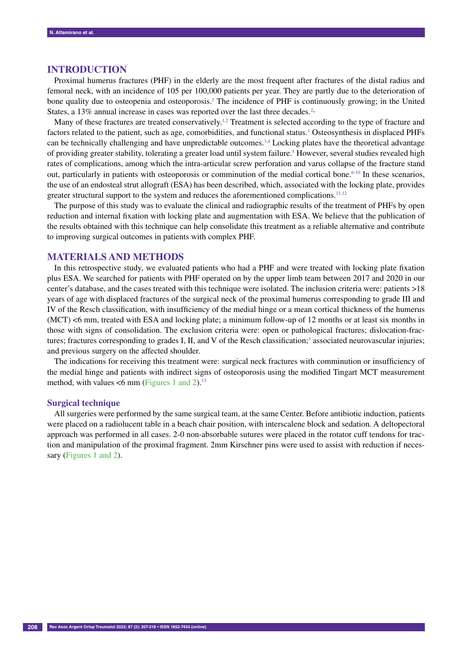## **INTRODUCTION**

Proximal humerus fractures (PHF) in the elderly are the most frequent after fractures of the distal radius and femoral neck, with an incidence of 105 per 100,000 patients per year. They are partly due to the deterioration of bone quality due to osteopenia and osteoporosis.<sup>1</sup> The incidence of PHF is continuously growing; in the United States, a 13% annual increase in cases was reported over the last three decades.<sup>2</sup>

Many of these fractures are treated conservatively.<sup>1,2</sup> Treatment is selected according to the type of fracture and factors related to the patient, such as age, comorbidities, and functional status.<sup>1</sup> Osteosynthesis in displaced PHFs can be technically challenging and have unpredictable outcomes.<sup>3,4</sup> Locking plates have the theoretical advantage of providing greater stability, tolerating a greater load until system failure.<sup>5</sup> However, several studies revealed high rates of complications, among which the intra-articular screw perforation and varus collapse of the fracture stand out, particularly in patients with osteoporosis or comminution of the medial cortical bone.<sup>6-10</sup> In these scenarios, the use of an endosteal strut allograft (ESA) has been described, which, associated with the locking plate, provides greater structural support to the system and reduces the aforementioned complications.<sup>11,12</sup>

The purpose of this study was to evaluate the clinical and radiographic results of the treatment of PHFs by open reduction and internal fixation with locking plate and augmentation with ESA. We believe that the publication of the results obtained with this technique can help consolidate this treatment as a reliable alternative and contribute to improving surgical outcomes in patients with complex PHF.

## **MATERIALS AND METHODS**

In this retrospective study, we evaluated patients who had a PHF and were treated with locking plate fixation plus ESA. We searched for patients with PHF operated on by the upper limb team between 2017 and 2020 in our center's database, and the cases treated with this technique were isolated. The inclusion criteria were: patients >18 years of age with displaced fractures of the surgical neck of the proximal humerus corresponding to grade III and IV of the Resch classification, with insufficiency of the medial hinge or a mean cortical thickness of the humerus (MCT) <6 mm, treated with ESA and locking plate; a minimum follow-up of 12 months or at least six months in those with signs of consolidation. The exclusion criteria were: open or pathological fractures; dislocation-fractures; fractures corresponding to grades I, II, and V of the Resch classification;<sup>3</sup> associated neurovascular injuries; and previous surgery on the affected shoulder.

The indications for receiving this treatment were: surgical neck fractures with comminution or insufficiency of the medial hinge and patients with indirect signs of osteoporosis using the modified Tingart MCT measurement method, with values  $\leq 6$  mm (Figures 1 and 2).<sup>13</sup>

#### **Surgical technique**

All surgeries were performed by the same surgical team, at the same Center. Before antibiotic induction, patients were placed on a radiolucent table in a beach chair position, with interscalene block and sedation. A deltopectoral approach was performed in all cases. 2-0 non-absorbable sutures were placed in the rotator cuff tendons for traction and manipulation of the proximal fragment. 2mm Kirschner pins were used to assist with reduction if necessary (Figures 1 and 2).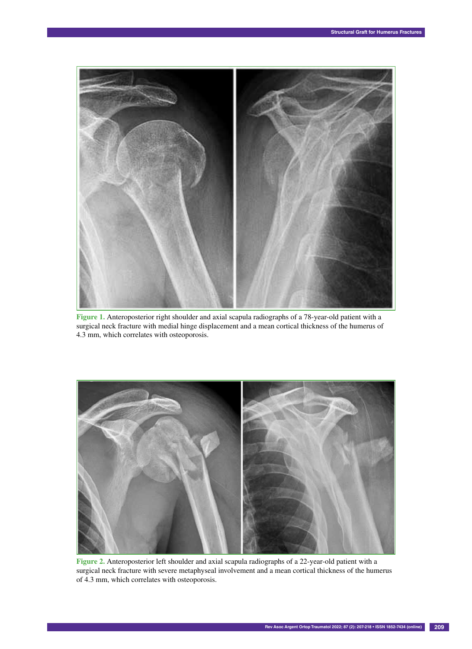

**Figure 1.** Anteroposterior right shoulder and axial scapula radiographs of a 78-year-old patient with a surgical neck fracture with medial hinge displacement and a mean cortical thickness of the humerus of 4.3 mm, which correlates with osteoporosis.



**Figure 2.** Anteroposterior left shoulder and axial scapula radiographs of a 22-year-old patient with a surgical neck fracture with severe metaphyseal involvement and a mean cortical thickness of the humerus of 4.3 mm, which correlates with osteoporosis.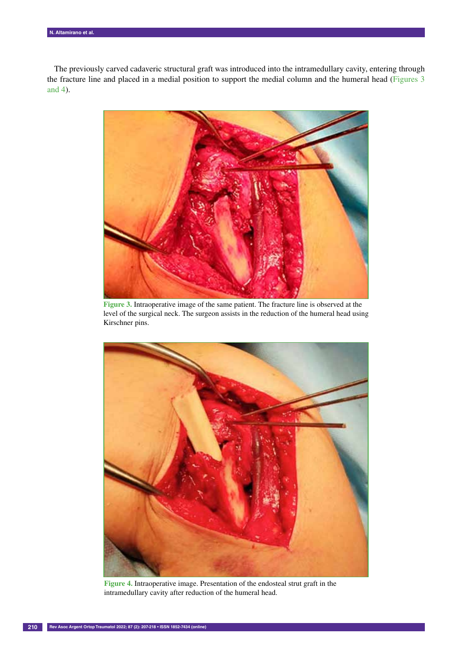The previously carved cadaveric structural graft was introduced into the intramedullary cavity, entering through the fracture line and placed in a medial position to support the medial column and the humeral head (Figures 3 and 4).



**Figure 3.** Intraoperative image of the same patient. The fracture line is observed at the level of the surgical neck. The surgeon assists in the reduction of the humeral head using Kirschner pins.



**Figure 4.** Intraoperative image. Presentation of the endosteal strut graft in the intramedullary cavity after reduction of the humeral head.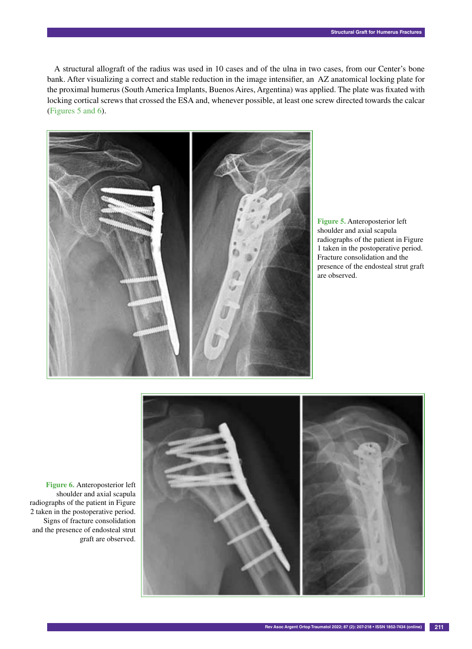A structural allograft of the radius was used in 10 cases and of the ulna in two cases, from our Center's bone bank. After visualizing a correct and stable reduction in the image intensifier, an AZ anatomical locking plate for the proximal humerus (South America Implants, Buenos Aires, Argentina) was applied. The plate was fixated with locking cortical screws that crossed the ESA and, whenever possible, at least one screw directed towards the calcar (Figures 5 and 6).



**Figure 5.** Anteroposterior left shoulder and axial scapula radiographs of the patient in Figure 1 taken in the postoperative period. Fracture consolidation and the presence of the endosteal strut graft are observed.



**Figure 6.** Anteroposterior left shoulder and axial scapula radiographs of the patient in Figure 2 taken in the postoperative period. Signs of fracture consolidation and the presence of endosteal strut graft are observed.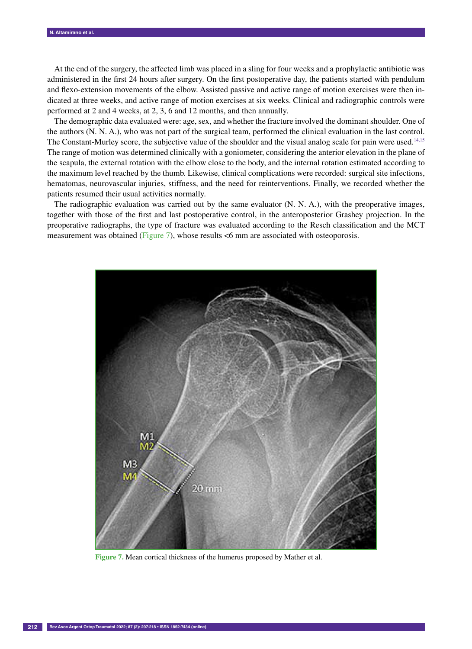At the end of the surgery, the affected limb was placed in a sling for four weeks and a prophylactic antibiotic was administered in the first 24 hours after surgery. On the first postoperative day, the patients started with pendulum and flexo-extension movements of the elbow. Assisted passive and active range of motion exercises were then indicated at three weeks, and active range of motion exercises at six weeks. Clinical and radiographic controls were performed at 2 and 4 weeks, at 2, 3, 6 and 12 months, and then annually.

The demographic data evaluated were: age, sex, and whether the fracture involved the dominant shoulder. One of the authors (N. N. A.), who was not part of the surgical team, performed the clinical evaluation in the last control. The Constant-Murley score, the subjective value of the shoulder and the visual analog scale for pain were used. $14,15$ The range of motion was determined clinically with a goniometer, considering the anterior elevation in the plane of the scapula, the external rotation with the elbow close to the body, and the internal rotation estimated according to the maximum level reached by the thumb. Likewise, clinical complications were recorded: surgical site infections, hematomas, neurovascular injuries, stiffness, and the need for reinterventions. Finally, we recorded whether the patients resumed their usual activities normally.

The radiographic evaluation was carried out by the same evaluator (N. N. A.), with the preoperative images, together with those of the first and last postoperative control, in the anteroposterior Grashey projection. In the preoperative radiographs, the type of fracture was evaluated according to the Resch classification and the MCT measurement was obtained (Figure 7), whose results <6 mm are associated with osteoporosis.



**Figure 7.** Mean cortical thickness of the humerus proposed by Mather et al.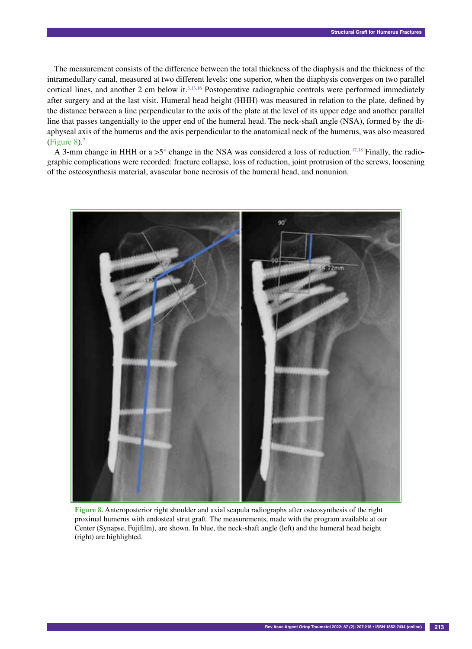The measurement consists of the difference between the total thickness of the diaphysis and the thickness of the intramedullary canal, measured at two different levels: one superior, when the diaphysis converges on two parallel cortical lines, and another 2 cm below it.<sup>3,13,16</sup> Postoperative radiographic controls were performed immediately after surgery and at the last visit. Humeral head height (HHH) was measured in relation to the plate, defined by the distance between a line perpendicular to the axis of the plate at the level of its upper edge and another parallel line that passes tangentially to the upper end of the humeral head. The neck-shaft angle (NSA), formed by the diaphyseal axis of the humerus and the axis perpendicular to the anatomical neck of the humerus, was also measured (Figure 8).7

A 3-mm change in HHH or a >5° change in the NSA was considered a loss of reduction.<sup>17,18</sup> Finally, the radiographic complications were recorded: fracture collapse, loss of reduction, joint protrusion of the screws, loosening of the osteosynthesis material, avascular bone necrosis of the humeral head, and nonunion.



**Figure 8.** Anteroposterior right shoulder and axial scapula radiographs after osteosynthesis of the right proximal humerus with endosteal strut graft. The measurements, made with the program available at our Center (Synapse, Fujifilm), are shown. In blue, the neck-shaft angle (left) and the humeral head height (right) are highlighted.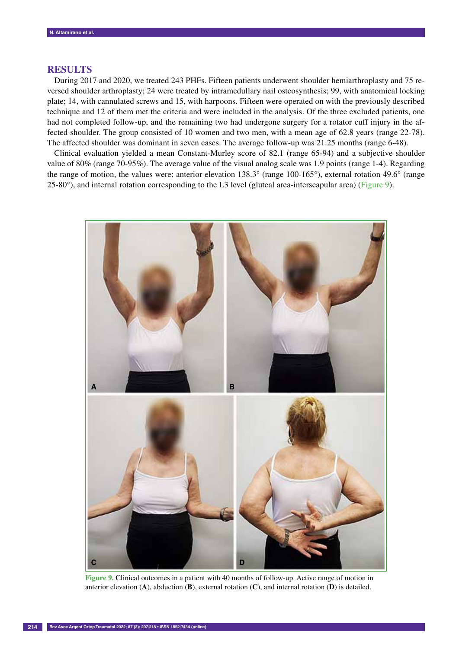## **RESULTS**

During 2017 and 2020, we treated 243 PHFs. Fifteen patients underwent shoulder hemiarthroplasty and 75 reversed shoulder arthroplasty; 24 were treated by intramedullary nail osteosynthesis; 99, with anatomical locking plate; 14, with cannulated screws and 15, with harpoons. Fifteen were operated on with the previously described technique and 12 of them met the criteria and were included in the analysis. Of the three excluded patients, one had not completed follow-up, and the remaining two had undergone surgery for a rotator cuff injury in the affected shoulder. The group consisted of 10 women and two men, with a mean age of 62.8 years (range 22-78). The affected shoulder was dominant in seven cases. The average follow-up was 21.25 months (range 6-48).

Clinical evaluation yielded a mean Constant-Murley score of 82.1 (range 65-94) and a subjective shoulder value of 80% (range 70-95%). The average value of the visual analog scale was 1.9 points (range 1-4). Regarding the range of motion, the values were: anterior elevation 138.3° (range 100-165°), external rotation 49.6° (range 25-80°), and internal rotation corresponding to the L3 level (gluteal area-interscapular area) (Figure 9).



**Figure 9.** Clinical outcomes in a patient with 40 months of follow-up. Active range of motion in anterior elevation (**A**), abduction (**B**), external rotation (**C**), and internal rotation (**D**) is detailed.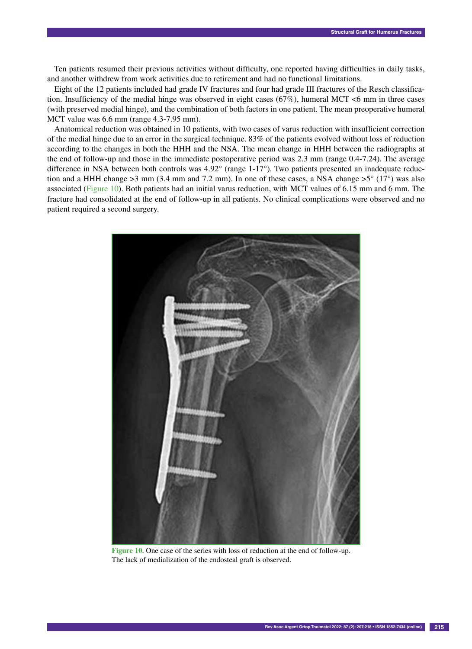Ten patients resumed their previous activities without difficulty, one reported having difficulties in daily tasks, and another withdrew from work activities due to retirement and had no functional limitations.

Eight of the 12 patients included had grade IV fractures and four had grade III fractures of the Resch classification. Insufficiency of the medial hinge was observed in eight cases ( $67\%$ ), humeral MCT <6 mm in three cases (with preserved medial hinge), and the combination of both factors in one patient. The mean preoperative humeral MCT value was 6.6 mm (range 4.3-7.95 mm).

Anatomical reduction was obtained in 10 patients, with two cases of varus reduction with insufficient correction of the medial hinge due to an error in the surgical technique. 83% of the patients evolved without loss of reduction according to the changes in both the HHH and the NSA. The mean change in HHH between the radiographs at the end of follow-up and those in the immediate postoperative period was 2.3 mm (range 0.4-7.24). The average difference in NSA between both controls was 4.92° (range 1-17°). Two patients presented an inadequate reduction and a HHH change  $>3$  mm (3.4 mm and 7.2 mm). In one of these cases, a NSA change  $>5^{\circ}$  (17°) was also associated (Figure 10). Both patients had an initial varus reduction, with MCT values of 6.15 mm and 6 mm. The fracture had consolidated at the end of follow-up in all patients. No clinical complications were observed and no patient required a second surgery.



**Figure 10.** One case of the series with loss of reduction at the end of follow-up. The lack of medialization of the endosteal graft is observed.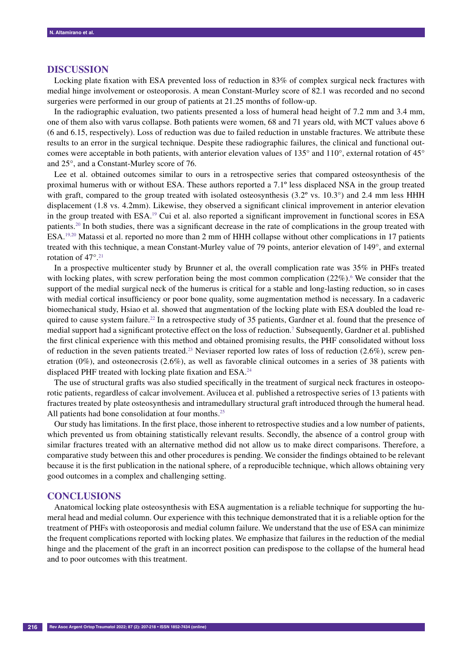### **DISCUSSION**

Locking plate fixation with ESA prevented loss of reduction in 83% of complex surgical neck fractures with medial hinge involvement or osteoporosis. A mean Constant-Murley score of 82.1 was recorded and no second surgeries were performed in our group of patients at 21.25 months of follow-up.

In the radiographic evaluation, two patients presented a loss of humeral head height of 7.2 mm and 3.4 mm, one of them also with varus collapse. Both patients were women, 68 and 71 years old, with MCT values above 6 (6 and 6.15, respectively). Loss of reduction was due to failed reduction in unstable fractures. We attribute these results to an error in the surgical technique. Despite these radiographic failures, the clinical and functional outcomes were acceptable in both patients, with anterior elevation values of 135° and 110°, external rotation of 45° and 25°, and a Constant-Murley score of 76.

Lee et al. obtained outcomes similar to ours in a retrospective series that compared osteosynthesis of the proximal humerus with or without ESA. These authors reported a 7.1º less displaced NSA in the group treated with graft, compared to the group treated with isolated osteosynthesis (3.2° vs. 10.3°) and 2.4 mm less HHH displacement (1.8 vs. 4.2mm). Likewise, they observed a significant clinical improvement in anterior elevation in the group treated with  $ESA<sup>19</sup>$  Cui et al. also reported a significant improvement in functional scores in  $ESA$ patients.<sup>20</sup> In both studies, there was a significant decrease in the rate of complications in the group treated with ESA.19,20 Matassi et al. reported no more than 2 mm of HHH collapse without other complications in 17 patients treated with this technique, a mean Constant-Murley value of 79 points, anterior elevation of 149°, and external rotation of 47°.21

In a prospective multicenter study by Brunner et al, the overall complication rate was 35% in PHFs treated with locking plates, with screw perforation being the most common complication  $(22\%)$ . We consider that the support of the medial surgical neck of the humerus is critical for a stable and long-lasting reduction, so in cases with medial cortical insufficiency or poor bone quality, some augmentation method is necessary. In a cadaveric biomechanical study, Hsiao et al. showed that augmentation of the locking plate with ESA doubled the load required to cause system failure.<sup>22</sup> In a retrospective study of 35 patients, Gardner et al. found that the presence of medial support had a significant protective effect on the loss of reduction.<sup>7</sup> Subsequently, Gardner et al. published the first clinical experience with this method and obtained promising results, the PHF consolidated without loss of reduction in the seven patients treated.<sup>23</sup> Neviaser reported low rates of loss of reduction (2.6%), screw penetration (0%), and osteonecrosis (2.6%), as well as favorable clinical outcomes in a series of 38 patients with displaced PHF treated with locking plate fixation and ESA.<sup>24</sup>

The use of structural grafts was also studied specifically in the treatment of surgical neck fractures in osteoporotic patients, regardless of calcar involvement. Avilucea et al. published a retrospective series of 13 patients with fractures treated by plate osteosynthesis and intramedullary structural graft introduced through the humeral head. All patients had bone consolidation at four months.<sup>25</sup>

Our study has limitations. In the first place, those inherent to retrospective studies and a low number of patients, which prevented us from obtaining statistically relevant results. Secondly, the absence of a control group with similar fractures treated with an alternative method did not allow us to make direct comparisons. Therefore, a comparative study between this and other procedures is pending. We consider the findings obtained to be relevant because it is the first publication in the national sphere, of a reproducible technique, which allows obtaining very good outcomes in a complex and challenging setting.

#### **CONCLUSIONS**

Anatomical locking plate osteosynthesis with ESA augmentation is a reliable technique for supporting the humeral head and medial column. Our experience with this technique demonstrated that it is a reliable option for the treatment of PHFs with osteoporosis and medial column failure. We understand that the use of ESA can minimize the frequent complications reported with locking plates. We emphasize that failures in the reduction of the medial hinge and the placement of the graft in an incorrect position can predispose to the collapse of the humeral head and to poor outcomes with this treatment.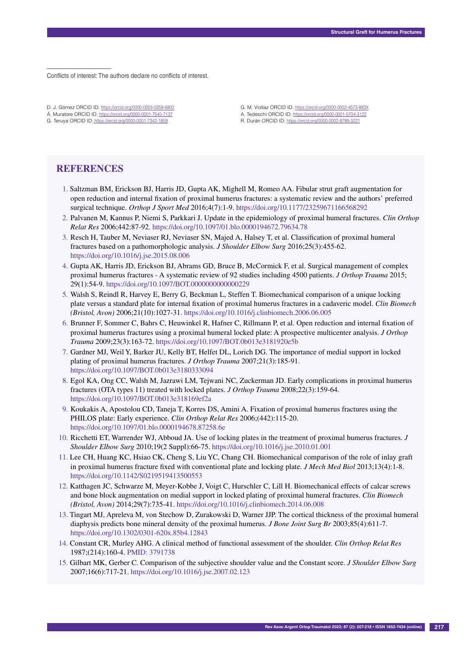–––––––––––––––––– Conflicts of interest: The authors declare no conflicts of interest.

- D. J. Gómez ORCID ID: https://orcid.org/0000-0003-0258-6802 Á. Muratore ORCID ID: https://orcid.org/0000-0001-7540-7137
- G. Teruya ORCID ID: https://orcid.org/0000-0001-7342-1859
- G. M. Viollaz ORCID ID: https://orcid.org/0000-0002-4573-883X A. Tedeschi ORCID ID: https://orcid.org/0000-0001-5704-3122
- R. Durán ORCID ID: https://orcid.org/0000-0002-8789-3221

## **REFERENCES**

- 1. Saltzman BM, Erickson BJ, Harris JD, Gupta AK, Mighell M, Romeo AA. Fibular strut graft augmentation for open reduction and internal fixation of proximal humerus fractures: a systematic review and the authors' preferred surgical technique. *Orthop J Sport Med* 2016;4(7):1-9. https://doi.org/10.1177/23259671166568292
- 2. Palvanen M, Kannus P, Niemi S, Parkkari J. Update in the epidemiology of proximal humeral fractures. *Clin Orthop Relat Res* 2006;442:87-92. https://doi.org/10.1097/01.blo.0000194672.79634.78
- 3. Resch H, Tauber M, Neviaser RJ, Neviaser SN, Majed A, Halsey T, et al. Classification of proximal humeral fractures based on a pathomorphologic analysis. *J Shoulder Elbow Surg* 2016;25(3):455-62. https://doi.org/10.1016/j.jse.2015.08.006
- 4. Gupta AK, Harris JD, Erickson BJ, Abrams GD, Bruce B, McCormick F, et al. Surgical management of complex proximal humerus fractures - A systematic review of 92 studies including 4500 patients. *J Orthop Trauma* 2015; 29(1):54-9. https://doi.org/10.1097/BOT.0000000000000229
- 5. Walsh S, Reindl R, Harvey E, Berry G, Beckman L, Steffen T. Biomechanical comparison of a unique locking plate versus a standard plate for internal fixation of proximal humerus fractures in a cadaveric model. *Clin Biomech (Bristol, Avon)* 2006;21(10):1027-31. https://doi.org/10.1016/j.clinbiomech.2006.06.005
- 6. Brunner F, Sommer C, Bahrs C, Heuwinkel R, Hafner C, Rillmann P, et al. Open reduction and internal fixation of proximal humerus fractures using a proximal humeral locked plate: A prospective multicenter analysis. *J Orthop Trauma* 2009;23(3):163-72. https://doi.org/10.1097/BOT.0b013e3181920e5b
- 7. Gardner MJ, Weil Y, Barker JU, Kelly BT, Helfet DL, Lorich DG. The importance of medial support in locked plating of proximal humerus fractures. *J Orthop Trauma* 2007;21(3):185-91. https://doi.org/10.1097/BOT.0b013e3180333094
- 8. Egol KA, Ong CC, Walsh M, Jazrawi LM, Tejwani NC, Zuckerman JD. Early complications in proximal humerus fractures (OTA types 11) treated with locked plates. *J Orthop Trauma* 2008;22(3):159-64. https://doi.org/10.1097/BOT.0b013e318169ef2a
- 9. Koukakis A, Apostolou CD, Taneja T, Korres DS, Amini A. Fixation of proximal humerus fractures using the PHILOS plate: Early experience. *Clin Orthop Relat Res* 2006;(442):115-20. https://doi.org/10.1097/01.blo.0000194678.87258.6e
- 10. Ricchetti ET, Warrender WJ, Abboud JA. Use of locking plates in the treatment of proximal humerus fractures. *J Shoulder Elbow Surg* 2010;19(2 Suppl):66-75. https://doi.org/10.1016/j.jse.2010.01.001
- 11. Lee CH, Huang KC, Hsiao CK, Cheng S, Liu YC, Chang CH. Biomechanical comparison of the role of inlay graft in proximal humerus fracture fixed with conventional plate and locking plate. *J Mech Med Biol* 2013;13(4):1-8. https://doi.org/10.1142/S0219519413500553
- 12. Katthagen JC, Schwarze M, Meyer-Kobbe J, Voigt C, Hurschler C, Lill H. Biomechanical effects of calcar screws and bone block augmentation on medial support in locked plating of proximal humeral fractures. *Clin Biomech (Bristol, Avon)* 2014;29(7):735-41. https://doi.org/10.1016/j.clinbiomech.2014.06.008
- 13. Tingart MJ, Apreleva M, von Stechow D, Zurakowski D, Warner JJP. The cortical thickness of the proximal humeral diaphysis predicts bone mineral density of the proximal humerus. *J Bone Joint Surg Br* 2003;85(4):611-7. https://doi.org/10.1302/0301-620x.85b4.12843
- 14. Constant CR, Murley AHG. A clinical method of functional assessment of the shoulder. *Clin Orthop Relat Res* 1987;(214):160-4. PMID: 3791738
- 15. Gilbart MK, Gerber C. Comparison of the subjective shoulder value and the Constant score. *J Shoulder Elbow Surg* 2007;16(6):717-21. https://doi.org/10.1016/j.jse.2007.02.123